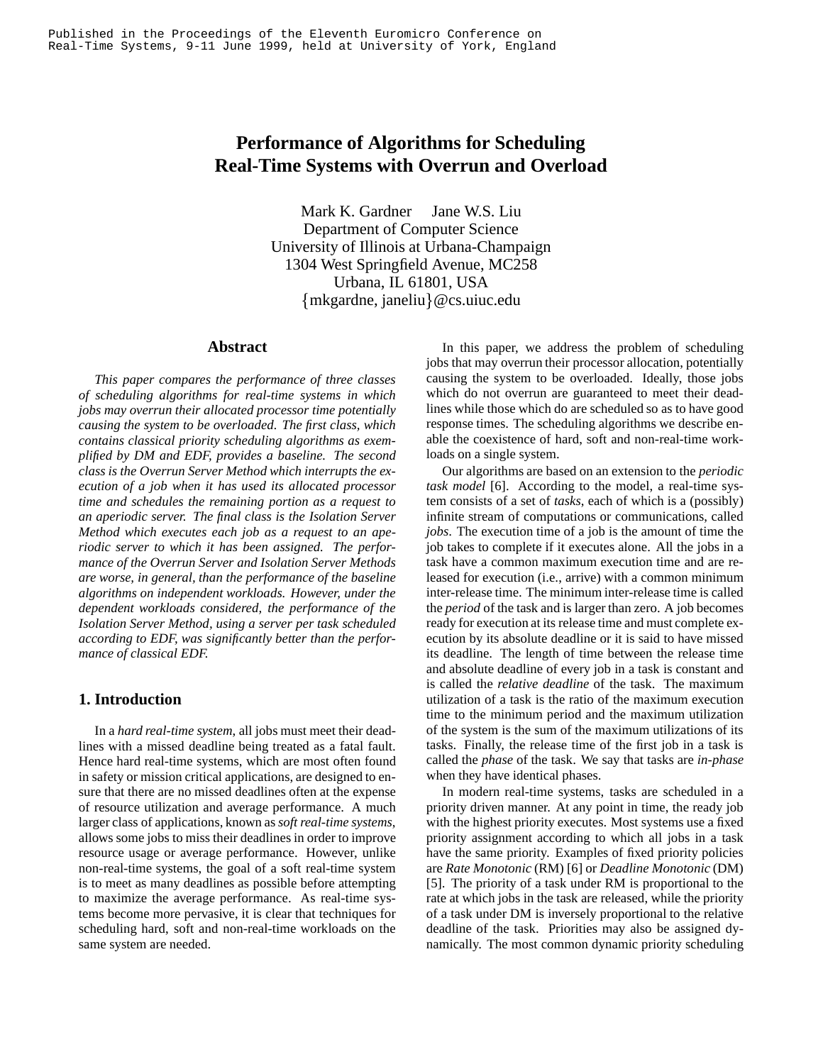# **Performance of Algorithms for Scheduling Real-Time Systems with Overrun and Overload**

Mark K. Gardner Jane W.S. Liu Department of Computer Science University of Illinois at Urbana-Champaign 1304 West Springfield Avenue, MC258 mkgardne, janeliu @cs.uiuc.edu Urbana, IL 61801, USA

# **Abstract**

*This paper compares the performance of three classes of scheduling algorithms for real-time systems in which jobs may overrun their allocated processor time potentially causing the system to be overloaded. The first class, which contains classical priority scheduling algorithms as exemplified by DM and EDF, provides a baseline. The second class is the Overrun Server Method which interrupts the execution of a job when it has used its allocated processor time and schedules the remaining portion as a request to an aperiodic server. The final class is the Isolation Server Method which executes each job as a request to an aperiodic server to which it has been assigned. The performance of the Overrun Server and Isolation Server Methods are worse, in general, than the performance of the baseline algorithms on independent workloads. However, under the dependent workloads considered, the performance of the Isolation Server Method, using a server per task scheduled according to EDF, was significantly better than the performance of classical EDF.*

# **1. Introduction**

In a *hard real-time system*, all jobs must meet their deadlines with a missed deadline being treated as a fatal fault. Hence hard real-time systems, which are most often found in safety or mission critical applications, are designed to ensure that there are no missed deadlines often at the expense of resource utilization and average performance. A much larger class of applications, known as *soft real-time systems*, allows some jobs to miss their deadlines in order to improve resource usage or average performance. However, unlike non-real-time systems, the goal of a soft real-time system is to meet as many deadlines as possible before attempting to maximize the average performance. As real-time systems become more pervasive, it is clear that techniques for scheduling hard, soft and non-real-time workloads on the same system are needed.

In this paper, we address the problem of scheduling jobs that may overrun their processor allocation, potentially causing the system to be overloaded. Ideally, those jobs which do not overrun are guaranteed to meet their deadlines while those which do are scheduled so as to have good response times. The scheduling algorithms we describe enable the coexistence of hard, soft and non-real-time workloads on a single system.

Our algorithms are based on an extension to the *periodic task model* [6]. According to the model, a real-time system consists of a set of *tasks*, each of which is a (possibly) infinite stream of computations or communications, called *jobs*. The execution time of a job is the amount of time the job takes to complete if it executes alone. All the jobs in a task have a common maximum execution time and are released for execution (i.e., arrive) with a common minimum inter-release time. The minimum inter-release time is called the *period* of the task and is larger than zero. A job becomes ready for execution at its release time and must complete execution by its absolute deadline or it is said to have missed its deadline. The length of time between the release time and absolute deadline of every job in a task is constant and is called the *relative deadline* of the task. The maximum utilization of a task is the ratio of the maximum execution time to the minimum period and the maximum utilization of the system is the sum of the maximum utilizations of its tasks. Finally, the release time of the first job in a task is called the *phase* of the task. We say that tasks are *in-phase* when they have identical phases.

In modern real-time systems, tasks are scheduled in a priority driven manner. At any point in time, the ready job with the highest priority executes. Most systems use a fixed priority assignment according to which all jobs in a task have the same priority. Examples of fixed priority policies are *Rate Monotonic* (RM) [6] or *Deadline Monotonic* (DM) [5]. The priority of a task under RM is proportional to the rate at which jobs in the task are released, while the priority of a task under DM is inversely proportional to the relative deadline of the task. Priorities may also be assigned dynamically. The most common dynamic priority scheduling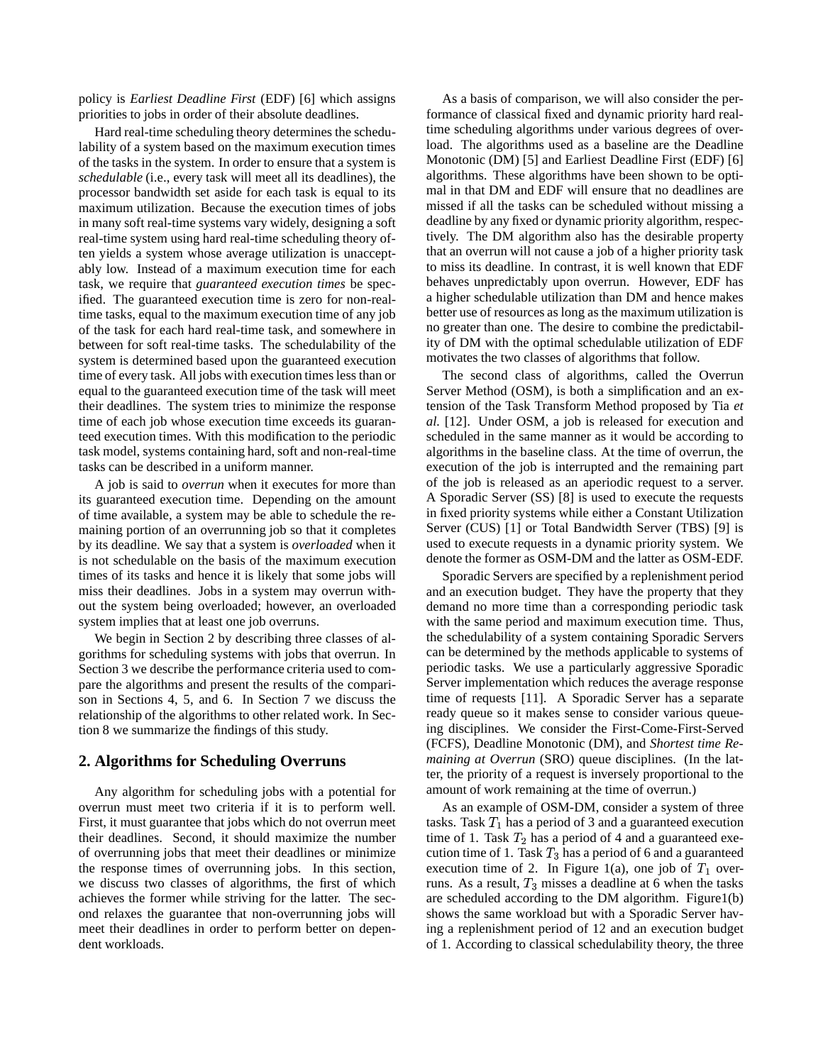policy is *Earliest Deadline First* (EDF) [6] which assigns priorities to jobs in order of their absolute deadlines.

Hard real-time scheduling theory determines the schedulability of a system based on the maximum execution times of the tasks in the system. In order to ensure that a system is *schedulable* (i.e., every task will meet all its deadlines), the processor bandwidth set aside for each task is equal to its maximum utilization. Because the execution times of jobs in many soft real-time systems vary widely, designing a soft real-time system using hard real-time scheduling theory often yields a system whose average utilization is unacceptably low. Instead of a maximum execution time for each task, we require that *guaranteed execution times* be specified. The guaranteed execution time is zero for non-realtime tasks, equal to the maximum execution time of any job of the task for each hard real-time task, and somewhere in between for soft real-time tasks. The schedulability of the system is determined based upon the guaranteed execution time of every task. All jobs with execution times less than or equal to the guaranteed execution time of the task will meet their deadlines. The system tries to minimize the response time of each job whose execution time exceeds its guaranteed execution times. With this modification to the periodic task model, systems containing hard, soft and non-real-time tasks can be described in a uniform manner.

A job is said to *overrun* when it executes for more than its guaranteed execution time. Depending on the amount of time available, a system may be able to schedule the remaining portion of an overrunning job so that it completes by its deadline. We say that a system is *overloaded* when it is not schedulable on the basis of the maximum execution times of its tasks and hence it is likely that some jobs will miss their deadlines. Jobs in a system may overrun without the system being overloaded; however, an overloaded system implies that at least one job overruns.

We begin in Section 2 by describing three classes of algorithms for scheduling systems with jobs that overrun. In Section 3 we describe the performance criteria used to compare the algorithms and present the results of the comparison in Sections 4, 5, and 6. In Section 7 we discuss the relationship of the algorithms to other related work. In Section 8 we summarize the findings of this study.

# **2. Algorithms for Scheduling Overruns**

Any algorithm for scheduling jobs with a potential for overrun must meet two criteria if it is to perform well. First, it must guarantee that jobs which do not overrun meet their deadlines. Second, it should maximize the number of overrunning jobs that meet their deadlines or minimize the response times of overrunning jobs. In this section, we discuss two classes of algorithms, the first of which achieves the former while striving for the latter. The second relaxes the guarantee that non-overrunning jobs will meet their deadlines in order to perform better on dependent workloads.

As a basis of comparison, we will also consider the performance of classical fixed and dynamic priority hard realtime scheduling algorithms under various degrees of overload. The algorithms used as a baseline are the Deadline Monotonic (DM) [5] and Earliest Deadline First (EDF) [6] algorithms. These algorithms have been shown to be optimal in that DM and EDF will ensure that no deadlines are missed if all the tasks can be scheduled without missing a deadline by any fixed or dynamic priority algorithm, respectively. The DM algorithm also has the desirable property that an overrun will not cause a job of a higher priority task to miss its deadline. In contrast, it is well known that EDF behaves unpredictably upon overrun. However, EDF has a higher schedulable utilization than DM and hence makes better use of resources as long as the maximum utilization is no greater than one. The desire to combine the predictability of DM with the optimal schedulable utilization of EDF motivates the two classes of algorithms that follow.

The second class of algorithms, called the Overrun Server Method (OSM), is both a simplification and an extension of the Task Transform Method proposed by Tia *et al.* [12]. Under OSM, a job is released for execution and scheduled in the same manner as it would be according to algorithms in the baseline class. At the time of overrun, the execution of the job is interrupted and the remaining part of the job is released as an aperiodic request to a server. A Sporadic Server (SS) [8] is used to execute the requests in fixed priority systems while either a Constant Utilization Server (CUS) [1] or Total Bandwidth Server (TBS) [9] is used to execute requests in a dynamic priority system. We denote the former as OSM-DM and the latter as OSM-EDF.

Sporadic Servers are specified by a replenishment period and an execution budget. They have the property that they demand no more time than a corresponding periodic task with the same period and maximum execution time. Thus, the schedulability of a system containing Sporadic Servers can be determined by the methods applicable to systems of periodic tasks. We use a particularly aggressive Sporadic Server implementation which reduces the average response time of requests [11]. A Sporadic Server has a separate ready queue so it makes sense to consider various queueing disciplines. We consider the First-Come-First-Served (FCFS), Deadline Monotonic (DM), and *Shortest time Remaining at Overrun* (SRO) queue disciplines. (In the latter, the priority of a request is inversely proportional to the amount of work remaining at the time of overrun.)

As an example of OSM-DM, consider a system of three tasks. Task  $T_1$  has a period of 3 and a guaranteed execution time of 1. Task  $T_2$  has a period of 4 and a guaranteed execution time of 1. Task  $T_3$  has a period of 6 and a guaranteed execution time of 2. In Figure 1(a), one job of  $T_1$  overruns. As a result,  $T_3$  misses a deadline at 6 when the tasks are scheduled according to the DM algorithm. Figure1(b) shows the same workload but with a Sporadic Server having a replenishment period of 12 and an execution budget of 1. According to classical schedulability theory, the three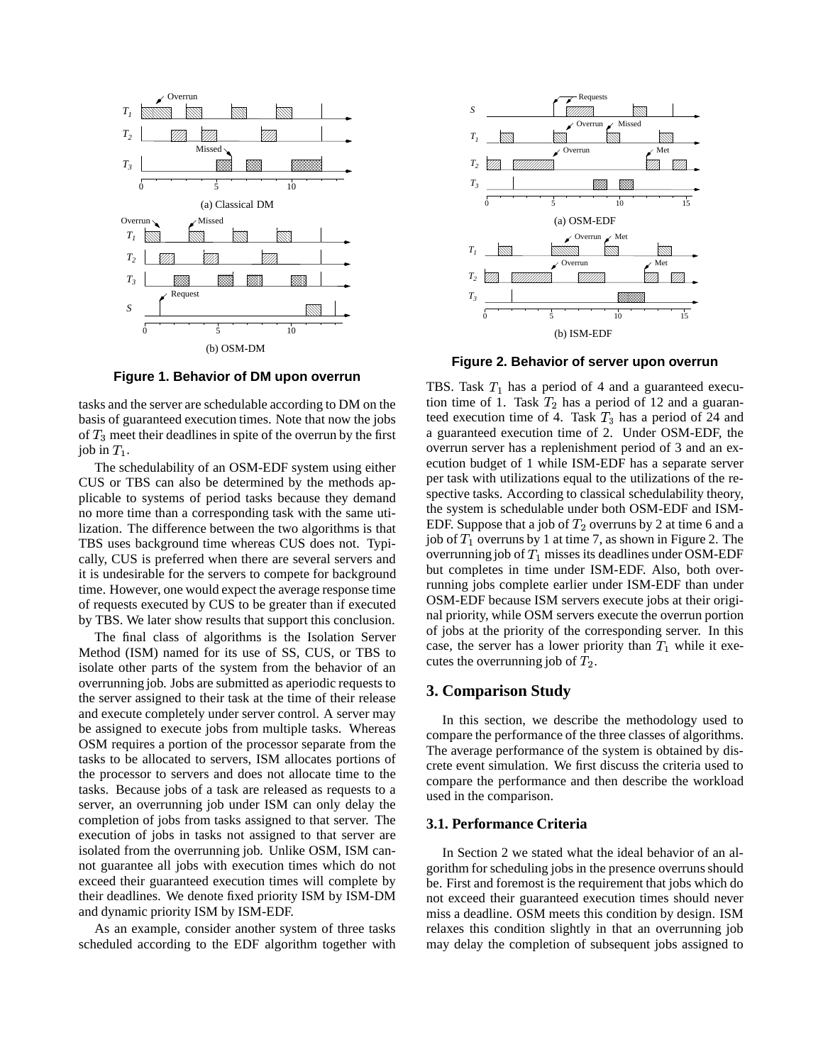

**Figure 1. Behavior of DM upon overrun**

tasks and the server are schedulable according to DM on the basis of guaranteed execution times. Note that now the jobs of  $T_3$  meet their deadlines in spite of the overrun by the first job in  $T_1$ .

The schedulability of an OSM-EDF system using either CUS or TBS can also be determined by the methods applicable to systems of period tasks because they demand no more time than a corresponding task with the same utilization. The difference between the two algorithms is that TBS uses background time whereas CUS does not. Typically, CUS is preferred when there are several servers and it is undesirable for the servers to compete for background time. However, one would expect the average response time of requests executed by CUS to be greater than if executed by TBS. We later show results that support this conclusion.

The final class of algorithms is the Isolation Server Method (ISM) named for its use of SS, CUS, or TBS to isolate other parts of the system from the behavior of an overrunning job. Jobs are submitted as aperiodic requests to the server assigned to their task at the time of their release and execute completely under server control. A server may be assigned to execute jobs from multiple tasks. Whereas OSM requires a portion of the processor separate from the tasks to be allocated to servers, ISM allocates portions of the processor to servers and does not allocate time to the tasks. Because jobs of a task are released as requests to a server, an overrunning job under ISM can only delay the completion of jobs from tasks assigned to that server. The execution of jobs in tasks not assigned to that server are isolated from the overrunning job. Unlike OSM, ISM cannot guarantee all jobs with execution times which do not exceed their guaranteed execution times will complete by their deadlines. We denote fixed priority ISM by ISM-DM and dynamic priority ISM by ISM-EDF.

As an example, consider another system of three tasks scheduled according to the EDF algorithm together with



**Figure 2. Behavior of server upon overrun**

TBS. Task  $T_1$  has a period of 4 and a guaranteed execution time of 1. Task  $T_2$  has a period of 12 and a guaranteed execution time of 4. Task  $T_3$  has a period of 24 and a guaranteed execution time of 2. Under OSM-EDF, the overrun server has a replenishment period of 3 and an execution budget of 1 while ISM-EDF has a separate server per task with utilizations equal to the utilizations of the respective tasks. According to classical schedulability theory, the system is schedulable under both OSM-EDF and ISM-EDF. Suppose that a job of  $T_2$  overruns by 2 at time 6 and a job of  $T_1$  overruns by 1 at time 7, as shown in Figure 2. The overrunning job of  $T_1$  misses its deadlines under OSM-EDF but completes in time under ISM-EDF. Also, both overrunning jobs complete earlier under ISM-EDF than under OSM-EDF because ISM servers execute jobs at their original priority, while OSM servers execute the overrun portion of jobs at the priority of the corresponding server. In this case, the server has a lower priority than  $T_1$  while it executes the overrunning job of  $T_2$ .

# **3. Comparison Study**

In this section, we describe the methodology used to compare the performance of the three classes of algorithms. The average performance of the system is obtained by discrete event simulation. We first discuss the criteria used to compare the performance and then describe the workload used in the comparison.

#### **3.1. Performance Criteria**

In Section 2 we stated what the ideal behavior of an algorithm for scheduling jobs in the presence overrunsshould be. First and foremost is the requirement that jobs which do not exceed their guaranteed execution times should never miss a deadline. OSM meets this condition by design. ISM relaxes this condition slightly in that an overrunning job may delay the completion of subsequent jobs assigned to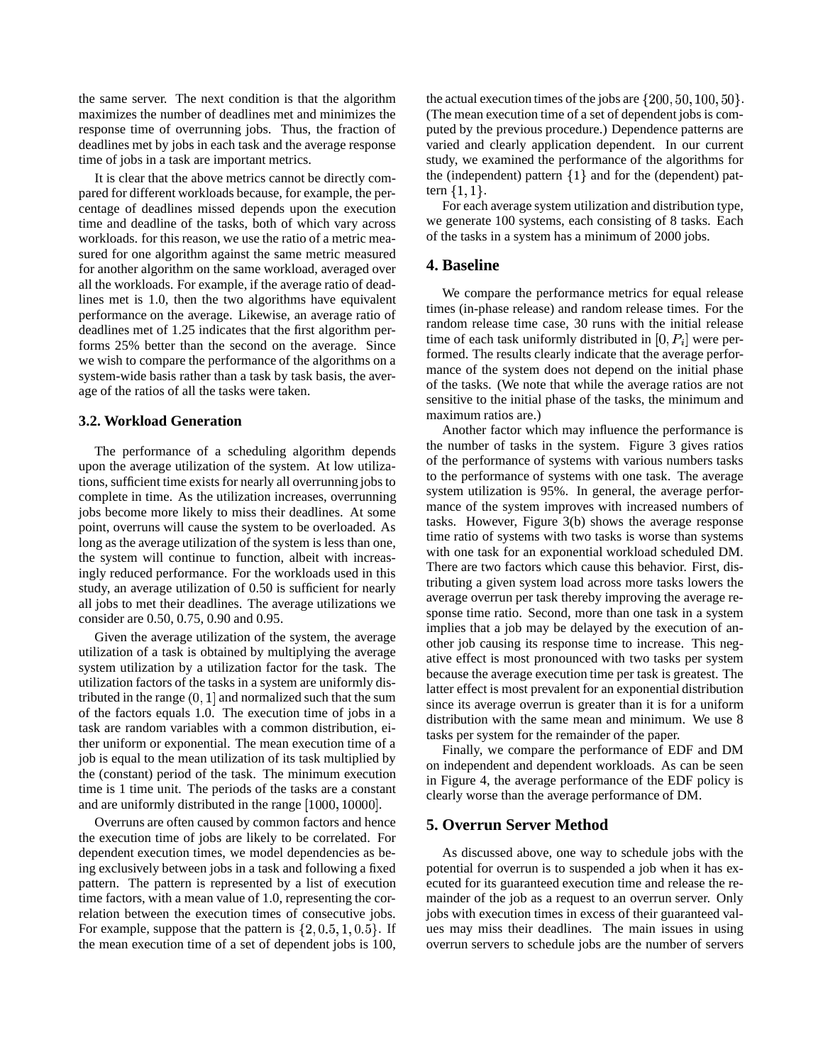the same server. The next condition is that the algorithm maximizes the number of deadlines met and minimizes the response time of overrunning jobs. Thus, the fraction of deadlines met by jobs in each task and the average response time of jobs in a task are important metrics.

It is clear that the above metrics cannot be directly compared for different workloads because, for example, the percentage of deadlines missed depends upon the execution time and deadline of the tasks, both of which vary across workloads. for this reason, we use the ratio of a metric measured for one algorithm against the same metric measured for another algorithm on the same workload, averaged over all the workloads. For example, if the average ratio of deadlines met is 1.0, then the two algorithms have equivalent performance on the average. Likewise, an average ratio of deadlines met of 1.25 indicates that the first algorithm performs 25% better than the second on the average. Since we wish to compare the performance of the algorithms on a system-wide basis rather than a task by task basis, the average of the ratios of all the tasks were taken.

# **3.2. Workload Generation**

The performance of a scheduling algorithm depends upon the average utilization of the system. At low utilizations, sufficient time exists for nearly all overrunning jobs to complete in time. As the utilization increases, overrunning jobs become more likely to miss their deadlines. At some point, overruns will cause the system to be overloaded. As long as the average utilization of the system is less than one, the system will continue to function, albeit with increasingly reduced performance. For the workloads used in this study, an average utilization of 0.50 is sufficient for nearly all jobs to met their deadlines. The average utilizations we consider are 0.50, 0.75, 0.90 and 0.95.

Given the average utilization of the system, the average utilization of a task is obtained by multiplying the average system utilization by a utilization factor for the task. The utilization factors of the tasks in a system are uniformly distributed in the range  $(0, 1]$  and normalized such that the sum of the factors equals 1.0. The execution time of jobs in a task are random variables with a common distribution, either uniform or exponential. The mean execution time of a job is equal to the mean utilization of its task multiplied by the (constant) period of the task. The minimum execution time is 1 time unit. The periods of the tasks are a constant and are uniformly distributed in the range  $[1000, 10000]$ .

Overruns are often caused by common factors and hence the execution time of jobs are likely to be correlated. For dependent execution times, we model dependencies as being exclusively between jobs in a task and following a fixed pattern. The pattern is represented by a list of execution time factors, with a mean value of 1.0, representing the correlation between the execution times of consecutive jobs. For example, suppose that the pattern is  $\{2, 0.5, 1, 0.5\}$ . If the mean execution time of a set of dependent jobs is 100,

the actual execution times of the jobs are  $\{200, 50, 100, 50\}$ . (The mean execution time of a set of dependent jobs is computed by the previous procedure.) Dependence patterns are varied and clearly application dependent. In our current study, we examined the performance of the algorithms for the (independent) pattern  $\{1\}$  and for the (dependent) pattern  $\{1, 1\}$ .

For each average system utilization and distribution type, we generate 100 systems, each consisting of 8 tasks. Each of the tasks in a system has a minimum of 2000 jobs.

### **4. Baseline**

We compare the performance metrics for equal release times (in-phase release) and random release times. For the random release time case, 30 runs with the initial release time of each task uniformly distributed in  $[0, P_i]$  were performed. The results clearly indicate that the average performance of the system does not depend on the initial phase of the tasks. (We note that while the average ratios are not sensitive to the initial phase of the tasks, the minimum and maximum ratios are.)

Another factor which may influence the performance is the number of tasks in the system. Figure 3 gives ratios of the performance of systems with various numbers tasks to the performance of systems with one task. The average system utilization is 95%. In general, the average performance of the system improves with increased numbers of tasks. However, Figure 3(b) shows the average response time ratio of systems with two tasks is worse than systems with one task for an exponential workload scheduled DM. There are two factors which cause this behavior. First, distributing a given system load across more tasks lowers the average overrun per task thereby improving the average response time ratio. Second, more than one task in a system implies that a job may be delayed by the execution of another job causing its response time to increase. This negative effect is most pronounced with two tasks per system because the average execution time per task is greatest. The latter effect is most prevalent for an exponential distribution since its average overrun is greater than it is for a uniform distribution with the same mean and minimum. We use 8 tasks per system for the remainder of the paper.

Finally, we compare the performance of EDF and DM on independent and dependent workloads. As can be seen in Figure 4, the average performance of the EDF policy is clearly worse than the average performance of DM.

#### **5. Overrun Server Method**

As discussed above, one way to schedule jobs with the potential for overrun is to suspended a job when it has executed for its guaranteed execution time and release the remainder of the job as a request to an overrun server. Only jobs with execution times in excess of their guaranteed values may miss their deadlines. The main issues in using overrun servers to schedule jobs are the number of servers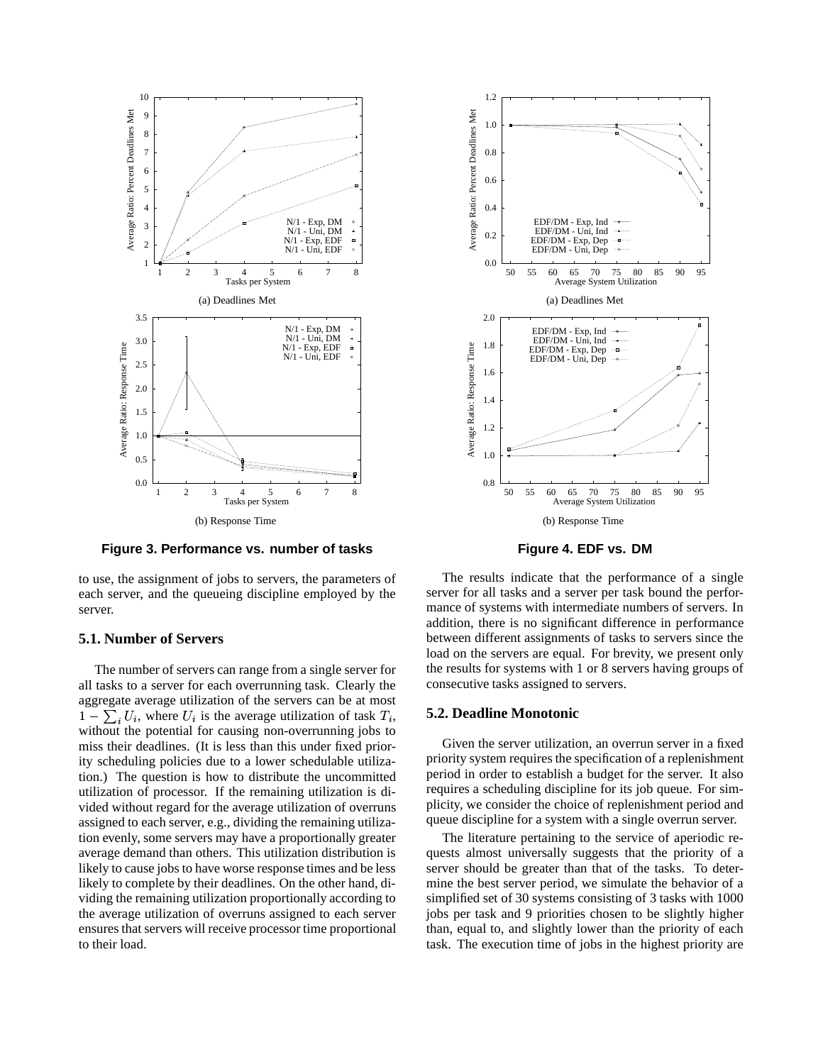

**Figure 3. Performance vs. number of tasks**

to use, the assignment of jobs to servers, the parameters of each server, and the queueing discipline employed by the server.

# **5.1. Number of Servers**

The number of servers can range from a single server for all tasks to a server for each overrunning task. Clearly the aggregate average utilization of the servers can be at most  $1 - \sum_i U_i$ , where  $U_i$  is the average utilization of task  $T_i$ , without the potential for causing non-overrunning jobs to miss their deadlines. (It is less than this under fixed priority scheduling policies due to a lower schedulable utilization.) The question is how to distribute the uncommitted utilization of processor. If the remaining utilization is divided without regard for the average utilization of overruns assigned to each server, e.g., dividing the remaining utilization evenly, some servers may have a proportionally greater average demand than others. This utilization distribution is likely to cause jobs to have worse response times and be less likely to complete by their deadlines. On the other hand, dividing the remaining utilization proportionally according to the average utilization of overruns assigned to each server ensures that servers will receive processor time proportional to their load.



**Figure 4. EDF vs. DM**

The results indicate that the performance of a single server for all tasks and a server per task bound the performance of systems with intermediate numbers of servers. In addition, there is no significant difference in performance between different assignments of tasks to servers since the load on the servers are equal. For brevity, we present only the results for systems with 1 or 8 servers having groups of consecutive tasks assigned to servers.

#### **5.2. Deadline Monotonic**

Given the server utilization, an overrun server in a fixed priority system requires the specification of a replenishment period in order to establish a budget for the server. It also requires a scheduling discipline for its job queue. For simplicity, we consider the choice of replenishment period and queue discipline for a system with a single overrun server.

The literature pertaining to the service of aperiodic requests almost universally suggests that the priority of a server should be greater than that of the tasks. To determine the best server period, we simulate the behavior of a simplified set of 30 systems consisting of 3 tasks with 1000 jobs per task and 9 priorities chosen to be slightly higher than, equal to, and slightly lower than the priority of each task. The execution time of jobs in the highest priority are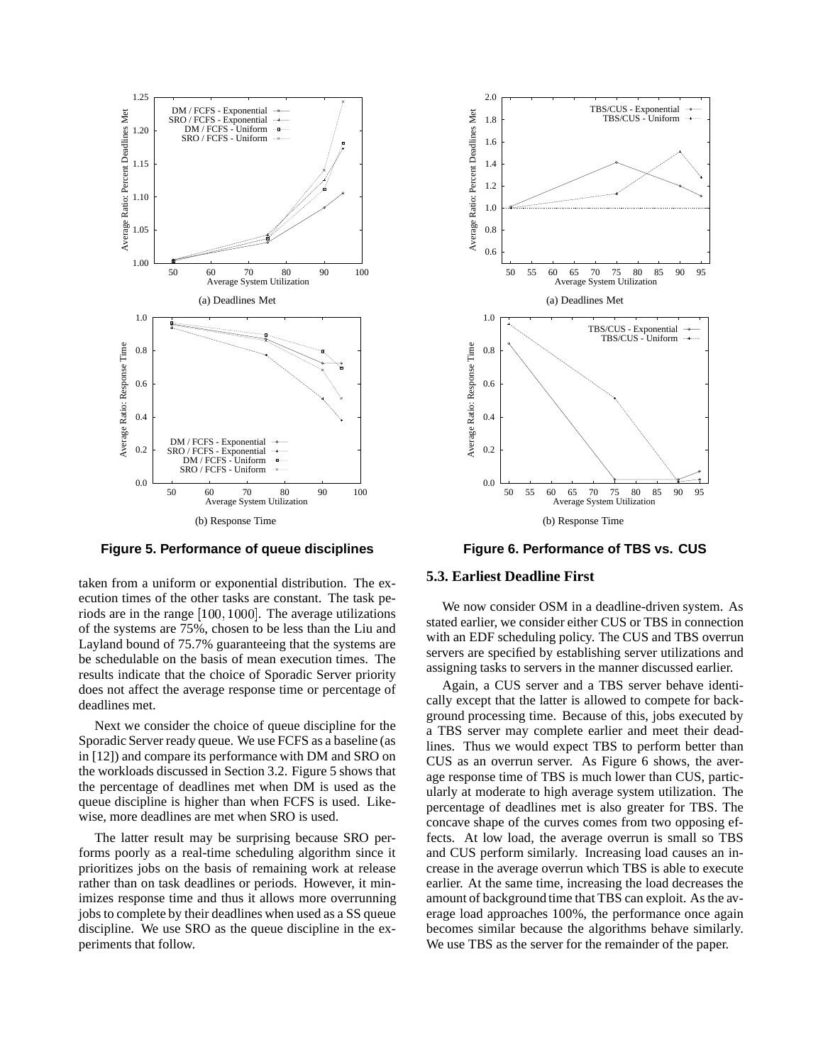

**Figure 5. Performance of queue disciplines**

taken from a uniform or exponential distribution. The execution times of the other tasks are constant. The task periods are in the range  $[100, 1000]$ . The average utilizations of the systems are 75%, chosen to be less than the Liu and Layland bound of 75.7% guaranteeing that the systems are be schedulable on the basis of mean execution times. The results indicate that the choice of Sporadic Server priority does not affect the average response time or percentage of deadlines met.

Next we consider the choice of queue discipline for the Sporadic Server ready queue. We use FCFS as a baseline (as in [12]) and compare its performance with DM and SRO on the workloads discussed in Section 3.2. Figure 5 shows that the percentage of deadlines met when DM is used as the queue discipline is higher than when FCFS is used. Likewise, more deadlines are met when SRO is used.

The latter result may be surprising because SRO performs poorly as a real-time scheduling algorithm since it prioritizes jobs on the basis of remaining work at release rather than on task deadlines or periods. However, it minimizes response time and thus it allows more overrunning jobs to complete by their deadlines when used as a SS queue discipline. We use SRO as the queue discipline in the experiments that follow.



**Figure 6. Performance of TBS vs. CUS**

# **5.3. Earliest Deadline First**

We now consider OSM in a deadline-driven system. As stated earlier, we consider either CUS or TBS in connection with an EDF scheduling policy. The CUS and TBS overrun servers are specified by establishing server utilizations and assigning tasks to servers in the manner discussed earlier.

Again, a CUS server and a TBS server behave identically except that the latter is allowed to compete for background processing time. Because of this, jobs executed by a TBS server may complete earlier and meet their deadlines. Thus we would expect TBS to perform better than CUS as an overrun server. As Figure 6 shows, the average response time of TBS is much lower than CUS, particularly at moderate to high average system utilization. The percentage of deadlines met is also greater for TBS. The concave shape of the curves comes from two opposing effects. At low load, the average overrun is small so TBS and CUS perform similarly. Increasing load causes an increase in the average overrun which TBS is able to execute earlier. At the same time, increasing the load decreases the amount of background time that TBS can exploit. As the average load approaches 100%, the performance once again becomes similar because the algorithms behave similarly. We use TBS as the server for the remainder of the paper.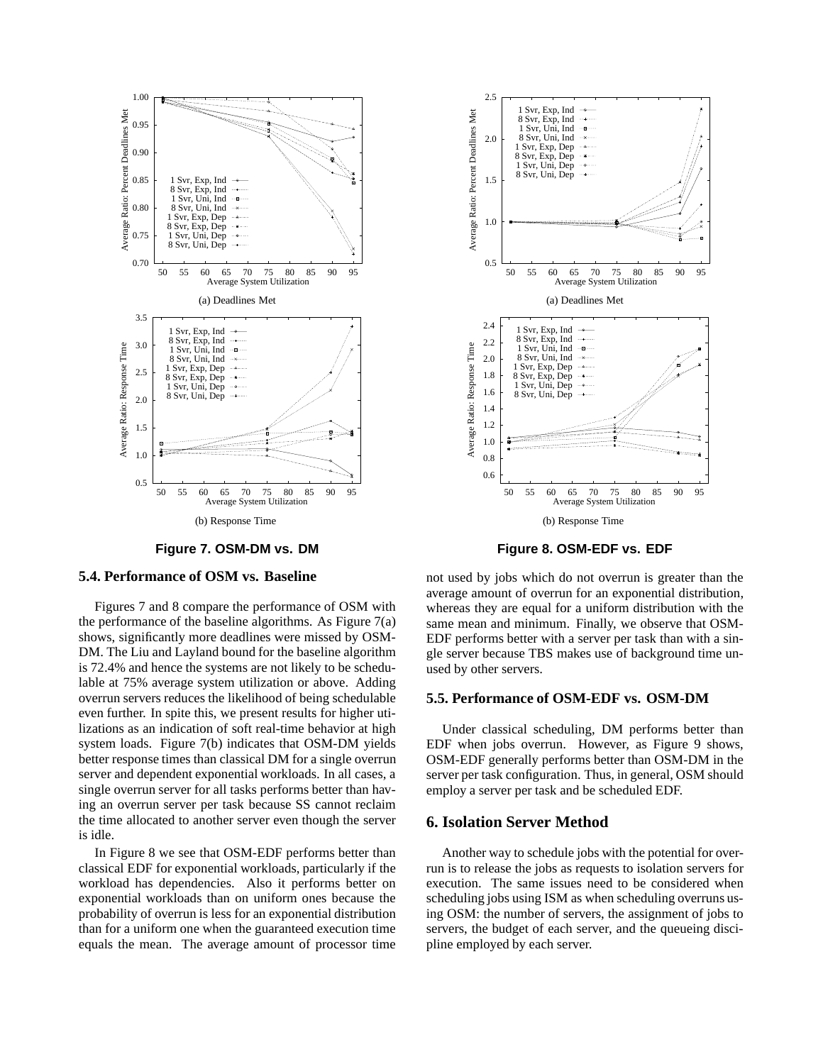![](_page_6_Figure_0.jpeg)

**Figure 7. OSM-DM vs. DM**

# **5.4. Performance of OSM vs. Baseline**

Figures 7 and 8 compare the performance of OSM with the performance of the baseline algorithms. As Figure 7(a) shows, significantly more deadlines were missed by OSM-DM. The Liu and Layland bound for the baseline algorithm is 72.4% and hence the systems are not likely to be schedulable at 75% average system utilization or above. Adding overrun servers reduces the likelihood of being schedulable even further. In spite this, we present results for higher utilizations as an indication of soft real-time behavior at high system loads. Figure 7(b) indicates that OSM-DM yields better response times than classical DM for a single overrun server and dependent exponential workloads. In all cases, a single overrun server for all tasks performs better than having an overrun server per task because SS cannot reclaim the time allocated to another server even though the server is idle.

In Figure 8 we see that OSM-EDF performs better than classical EDF for exponential workloads, particularly if the workload has dependencies. Also it performs better on exponential workloads than on uniform ones because the probability of overrun is less for an exponential distribution than for a uniform one when the guaranteed execution time equals the mean. The average amount of processor time

![](_page_6_Figure_5.jpeg)

**Figure 8. OSM-EDF vs. EDF**

not used by jobs which do not overrun is greater than the average amount of overrun for an exponential distribution, whereas they are equal for a uniform distribution with the same mean and minimum. Finally, we observe that OSM-EDF performs better with a server per task than with a single server because TBS makes use of background time unused by other servers.

### **5.5. Performance of OSM-EDF vs. OSM-DM**

Under classical scheduling, DM performs better than EDF when jobs overrun. However, as Figure 9 shows, OSM-EDF generally performs better than OSM-DM in the server per task configuration. Thus, in general, OSM should employ a server per task and be scheduled EDF.

# **6. Isolation Server Method**

Another way to schedule jobs with the potential for overrun is to release the jobs as requests to isolation servers for execution. The same issues need to be considered when scheduling jobs using ISM as when scheduling overruns using OSM: the number of servers, the assignment of jobs to servers, the budget of each server, and the queueing discipline employed by each server.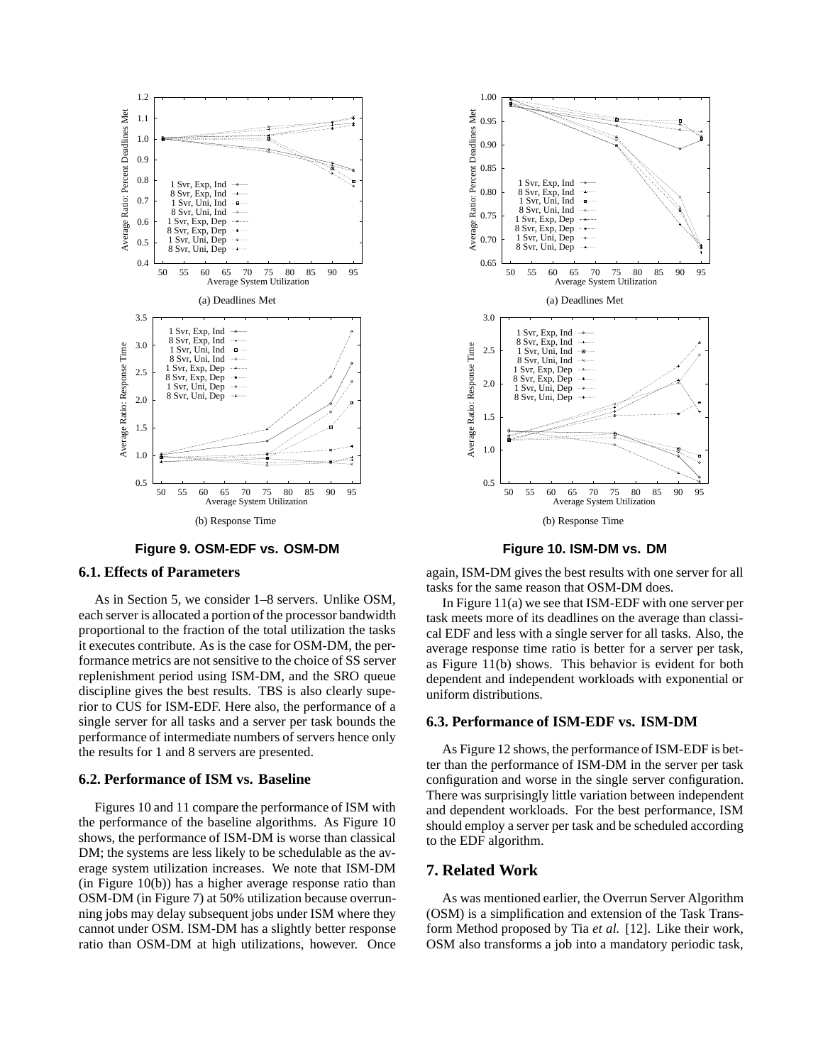![](_page_7_Figure_0.jpeg)

**Figure 9. OSM-EDF vs. OSM-DM**

# **6.1. Effects of Parameters**

As in Section 5, we consider 1–8 servers. Unlike OSM, each server is allocated a portion of the processor bandwidth proportional to the fraction of the total utilization the tasks it executes contribute. As is the case for OSM-DM, the performance metrics are not sensitive to the choice of SS server replenishment period using ISM-DM, and the SRO queue discipline gives the best results. TBS is also clearly superior to CUS for ISM-EDF. Here also, the performance of a single server for all tasks and a server per task bounds the performance of intermediate numbers of servers hence only the results for 1 and 8 servers are presented.

### **6.2. Performance of ISM vs. Baseline**

Figures 10 and 11 compare the performance of ISM with the performance of the baseline algorithms. As Figure 10 shows, the performance of ISM-DM is worse than classical DM; the systems are less likely to be schedulable as the average system utilization increases. We note that ISM-DM (in Figure 10(b)) has a higher average response ratio than OSM-DM (in Figure 7) at 50% utilization because overrunning jobs may delay subsequent jobs under ISM where they cannot under OSM. ISM-DM has a slightly better response ratio than OSM-DM at high utilizations, however. Once

![](_page_7_Figure_6.jpeg)

**Figure 10. ISM-DM vs. DM**

again, ISM-DM gives the best results with one server for all tasks for the same reason that OSM-DM does.

In Figure  $11(a)$  we see that ISM-EDF with one server per task meets more of its deadlines on the average than classical EDF and less with a single server for all tasks. Also, the average response time ratio is better for a server per task, as Figure 11(b) shows. This behavior is evident for both dependent and independent workloads with exponential or uniform distributions.

#### **6.3. Performance of ISM-EDF vs. ISM-DM**

As Figure 12 shows, the performance of ISM-EDF is better than the performance of ISM-DM in the server per task configuration and worse in the single server configuration. There was surprisingly little variation between independent and dependent workloads. For the best performance, ISM should employ a server per task and be scheduled according to the EDF algorithm.

# **7. Related Work**

As was mentioned earlier, the Overrun Server Algorithm (OSM) is a simplification and extension of the Task Transform Method proposed by Tia *et al.* [12]. Like their work, OSM also transforms a job into a mandatory periodic task,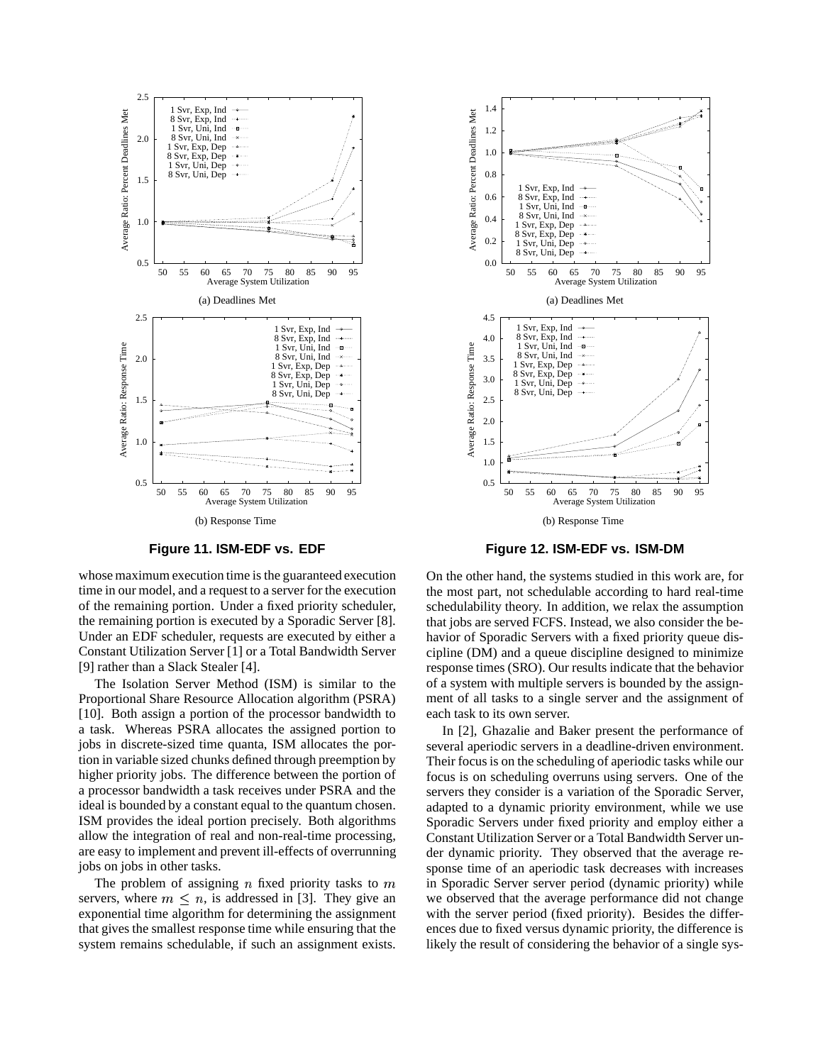![](_page_8_Figure_0.jpeg)

**Figure 11. ISM-EDF vs. EDF**

whose maximum execution time is the guaranteed execution time in our model, and a request to a server for the execution of the remaining portion. Under a fixed priority scheduler, the remaining portion is executed by a Sporadic Server [8]. Under an EDF scheduler, requests are executed by either a Constant Utilization Server [1] or a Total Bandwidth Server [9] rather than a Slack Stealer [4].

The Isolation Server Method (ISM) is similar to the Proportional Share Resource Allocation algorithm (PSRA) [10]. Both assign a portion of the processor bandwidth to a task. Whereas PSRA allocates the assigned portion to jobs in discrete-sized time quanta, ISM allocates the portion in variable sized chunks defined through preemption by higher priority jobs. The difference between the portion of a processor bandwidth a task receives under PSRA and the ideal is bounded by a constant equal to the quantum chosen. ISM provides the ideal portion precisely. Both algorithms allow the integration of real and non-real-time processing, are easy to implement and prevent ill-effects of overrunning jobs on jobs in other tasks.

The problem of assigning  $n$  fixed priority tasks to  $m$ servers, where  $m \leq n$ , is addressed in [3]. They give an exponential time algorithm for determining the assignment that gives the smallest response time while ensuring that the system remains schedulable, if such an assignment exists.

![](_page_8_Figure_5.jpeg)

**Figure 12. ISM-EDF vs. ISM-DM**

On the other hand, the systems studied in this work are, for the most part, not schedulable according to hard real-time schedulability theory. In addition, we relax the assumption that jobs are served FCFS. Instead, we also consider the behavior of Sporadic Servers with a fixed priority queue discipline (DM) and a queue discipline designed to minimize response times (SRO). Our results indicate that the behavior of a system with multiple servers is bounded by the assignment of all tasks to a single server and the assignment of each task to its own server.

In [2], Ghazalie and Baker present the performance of several aperiodic servers in a deadline-driven environment. Their focus is on the scheduling of aperiodic tasks while our focus is on scheduling overruns using servers. One of the servers they consider is a variation of the Sporadic Server, adapted to a dynamic priority environment, while we use Sporadic Servers under fixed priority and employ either a Constant Utilization Server or a Total Bandwidth Server under dynamic priority. They observed that the average response time of an aperiodic task decreases with increases in Sporadic Server server period (dynamic priority) while we observed that the average performance did not change with the server period (fixed priority). Besides the differences due to fixed versus dynamic priority, the difference is likely the result of considering the behavior of a single sys